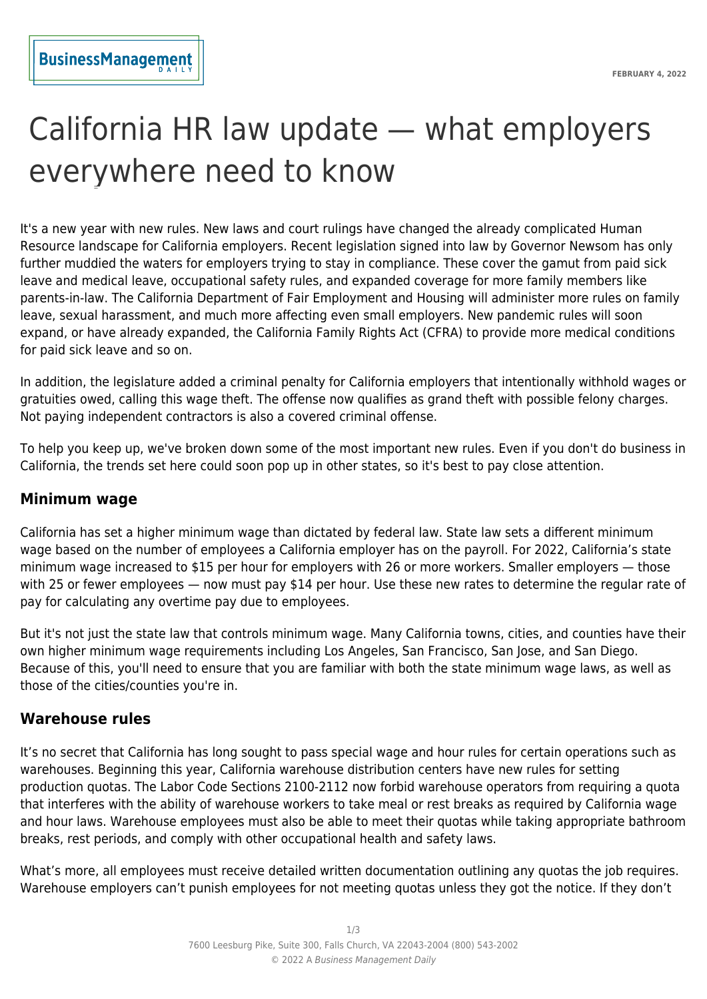# California HR law update — what employers everywhere need to know

It's a new year with new rules. New laws and court rulings have changed the already complicated Human Resource landscape for California employers. Recent legislation signed into law by Governor Newsom has only further muddied the waters for employers trying to stay in compliance. These cover the gamut from paid sick leave and medical leave, occupational safety rules, and expanded coverage for more family members like parents-in-law. The California Department of Fair Employment and Housing will administer more rules on family leave, sexual harassment, and much more affecting even small employers. New pandemic rules will soon expand, or have already expanded, the California Family Rights Act (CFRA) to provide more medical conditions for paid sick leave and so on.

In addition, the legislature added a criminal penalty for California employers that intentionally withhold wages or gratuities owed, calling this wage theft. The offense now qualifies as grand theft with possible felony charges. Not paying independent contractors is also a covered criminal offense.

To help you keep up, we've broken down some of the most important new rules. Even if you don't do business in California, the trends set here could soon pop up in other states, so it's best to pay close attention.

#### **Minimum wage**

California has set a higher minimum wage than dictated by federal law. State law sets a different minimum wage based on the number of employees a California employer has on the payroll. For 2022, California's state minimum wage increased to \$15 per hour for employers with 26 or more workers. Smaller employers — those with 25 or fewer employees — now must pay \$14 per hour. Use these new rates to determine the regular rate of pay for calculating any overtime pay due to employees.

But it's not just the state law that controls minimum wage. Many California towns, cities, and counties have their own higher minimum wage requirements including Los Angeles, San Francisco, San Jose, and San Diego. Because of this, you'll need to ensure that you are familiar with both the state minimum wage laws, as well as those of the cities/counties you're in.

#### **Warehouse rules**

It's no secret that California has long sought to pass special wage and hour rules for certain operations such as warehouses. Beginning this year, California warehouse distribution centers have new rules for setting production quotas. The Labor Code Sections 2100-2112 now forbid warehouse operators from requiring a quota that interferes with the ability of warehouse workers to take meal or rest breaks as required by California wage and hour laws. Warehouse employees must also be able to meet their quotas while taking appropriate bathroom breaks, rest periods, and comply with other occupational health and safety laws.

What's more, all employees must receive detailed written documentation outlining any quotas the job requires. Warehouse employers can't punish employees for not meeting quotas unless they got the notice. If they don't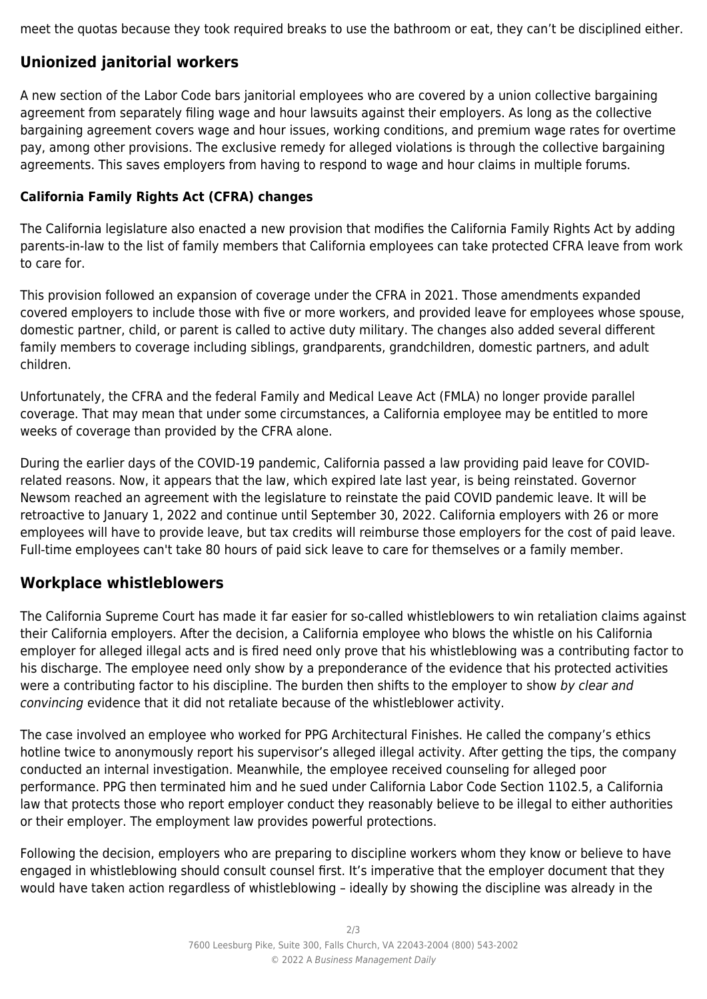meet the quotas because they took required breaks to use the bathroom or eat, they can't be disciplined either.

# **Unionized janitorial workers**

A new section of the Labor Code bars janitorial employees who are covered by a union collective bargaining agreement from separately filing wage and hour lawsuits against their employers. As long as the collective bargaining agreement covers wage and hour issues, working conditions, and premium wage rates for overtime pay, among other provisions. The exclusive remedy for alleged violations is through the collective bargaining agreements. This saves employers from having to respond to wage and hour claims in multiple forums.

### **California Family Rights Act (CFRA) changes**

The California legislature also enacted a new provision that modifies the California Family Rights Act by adding parents-in-law to the list of family members that California employees can take protected CFRA leave from work to care for.

This provision followed an expansion of coverage under the CFRA in 2021. Those amendments expanded covered employers to include those with five or more workers, and provided leave for employees whose spouse, domestic partner, child, or parent is called to active duty military. The changes also added several different family members to coverage including siblings, grandparents, grandchildren, domestic partners, and adult children.

Unfortunately, the CFRA and the federal Family and Medical Leave Act (FMLA) no longer provide parallel coverage. That may mean that under some circumstances, a California employee may be entitled to more weeks of coverage than provided by the CFRA alone.

During the earlier days of the COVID-19 pandemic, California passed a law providing paid leave for COVIDrelated reasons. Now, it appears that the law, which expired late last year, is being reinstated. Governor Newsom reached an agreement with the legislature to reinstate the paid COVID pandemic leave. It will be retroactive to January 1, 2022 and continue until September 30, 2022. California employers with 26 or more employees will have to provide leave, but tax credits will reimburse those employers for the cost of paid leave. Full-time employees can't take 80 hours of paid sick leave to care for themselves or a family member.

## **Workplace whistleblowers**

The California Supreme Court has made it far easier for so-called whistleblowers to win retaliation claims against their California employers. After the decision, a California employee who blows the whistle on his California employer for alleged illegal acts and is fired need only prove that his whistleblowing was a contributing factor to his discharge. The employee need only show by a preponderance of the evidence that his protected activities were a contributing factor to his discipline. The burden then shifts to the employer to show by clear and convincing evidence that it did not retaliate because of the whistleblower activity.

The case involved an employee who worked for PPG Architectural Finishes. He called the company's ethics hotline twice to anonymously report his supervisor's alleged illegal activity. After getting the tips, the company conducted an internal investigation. Meanwhile, the employee received counseling for alleged poor performance. PPG then terminated him and he sued under California Labor Code Section 1102.5, a California law that protects those who report employer conduct they reasonably believe to be illegal to either authorities or their employer. The employment law provides powerful protections.

Following the decision, employers who are preparing to discipline workers whom they know or believe to have engaged in whistleblowing should consult counsel first. It's imperative that the employer document that they would have taken action regardless of whistleblowing – ideally by showing the discipline was already in the